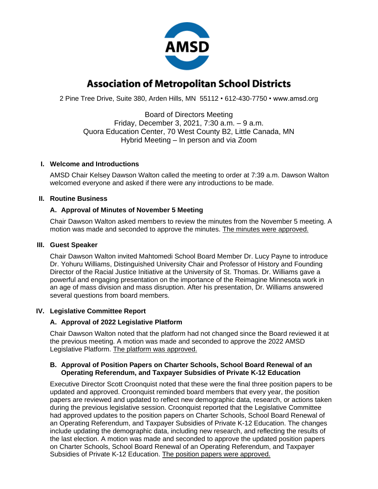

# **Association of Metropolitan School Districts**

2 Pine Tree Drive, Suite 380, Arden Hills, MN 55112 • 612-430-7750 • www.amsd.org

Board of Directors Meeting Friday, December 3, 2021, 7:30 a.m. – 9 a.m. Quora Education Center, 70 West County B2, Little Canada, MN Hybrid Meeting – In person and via Zoom

## **I. Welcome and Introductions**

AMSD Chair Kelsey Dawson Walton called the meeting to order at 7:39 a.m. Dawson Walton welcomed everyone and asked if there were any introductions to be made.

## **II. Routine Business**

## **A. Approval of Minutes of November 5 Meeting**

Chair Dawson Walton asked members to review the minutes from the November 5 meeting. A motion was made and seconded to approve the minutes. The minutes were approved.

## **III. Guest Speaker**

Chair Dawson Walton invited Mahtomedi School Board Member Dr. Lucy Payne to introduce Dr. Yohuru Williams, Distinguished University Chair and Professor of History and Founding Director of the Racial Justice Initiative at the University of St. Thomas. Dr. Williams gave a powerful and engaging presentation on the importance of the Reimagine Minnesota work in an age of mass division and mass disruption. After his presentation, Dr. Williams answered several questions from board members.

## **IV. Legislative Committee Report**

## **A. Approval of 2022 Legislative Platform**

Chair Dawson Walton noted that the platform had not changed since the Board reviewed it at the previous meeting. A motion was made and seconded to approve the 2022 AMSD Legislative Platform. The platform was approved.

## **B. Approval of Position Papers on Charter Schools, School Board Renewal of an Operating Referendum, and Taxpayer Subsidies of Private K-12 Education**

Executive Director Scott Croonquist noted that these were the final three position papers to be updated and approved. Croonquist reminded board members that every year, the position papers are reviewed and updated to reflect new demographic data, research, or actions taken during the previous legislative session. Croonquist reported that the Legislative Committee had approved updates to the position papers on Charter Schools, School Board Renewal of an Operating Referendum, and Taxpayer Subsidies of Private K-12 Education. The changes include updating the demographic data, including new research, and reflecting the results of the last election. A motion was made and seconded to approve the updated position papers on Charter Schools, School Board Renewal of an Operating Referendum, and Taxpayer Subsidies of Private K-12 Education. The position papers were approved.